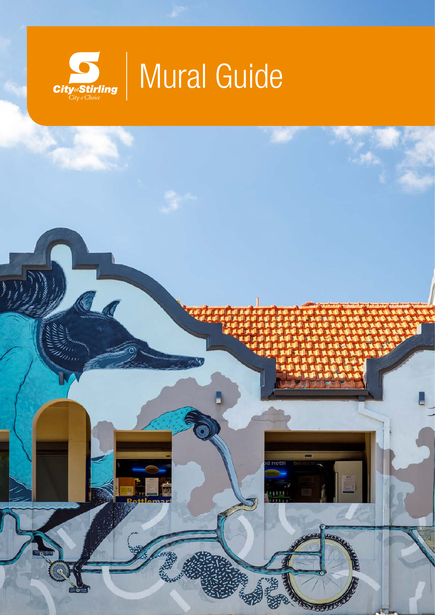

# Mural Guide

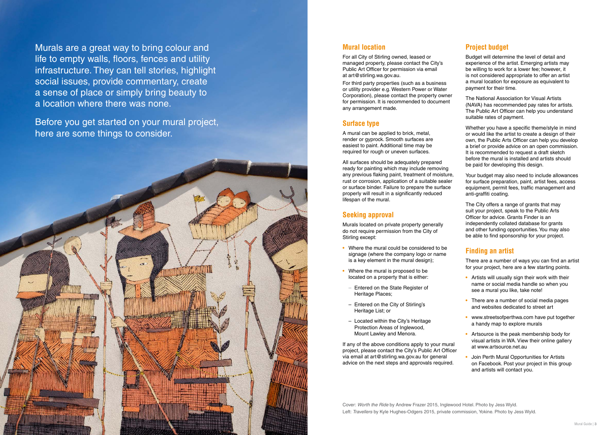Murals are a great way to bring colour and life to empty walls, floors, fences and utility infrastructure. They can tell stories, highlight social issues, provide commentary, create a sense of place or simply bring beauty to a location where there was none.

Before you get started on your mural project, here are some things to consider.

#### **Mural location**

For all City of Stirling owned, leased or managed property, please contact the City's Public Art Officer for permission via email at art@stirling.wa.gov.au.

For third party properties (such as a business or utility provider e.g. Western Power or Water Corporation), please contact the property owner for permission. It is recommended to document any arrangement made.

#### **Surface type**

A mural can be applied to brick, metal, render or gyprock. Smooth surfaces are easiest to paint. Additional time may be required for rough or uneven surfaces.

All surfaces should be adequately prepared ready for painting which may include removing any previous flaking paint, treatment of moisture, rust or corrosion, application of a suitable sealer or surface binder. Failure to prepare the surface properly will result in a significantly reduced lifespan of the mural.

#### **Seeking approval**

Murals located on private property generally do not require permission from the City of Stirling except:

- **•** Where the mural could be considered to be signage (where the company logo or name is a key element in the mural design);
- Where the mural is proposed to be located on a property that is either: – Entered on the State Register of
	- Heritage Places;
- Entered on the City of Stirling's Heritage List; or
- Located within the City's Heritage Protection Areas of Inglewood, Mount Lawley and Menora.

If any of the above conditions apply to your mural project, please contact the City's Public Art Officer via email at art@stirling.wa.gov.au for general advice on the next steps and approvals required.

#### **Project budget**

Budget will determine the level of detail and experience of the artist. Emerging artists may be willing to work for a lower fee; however, it is not considered appropriate to offer an artist a mural location for exposure as equivalent to payment for their time.

The National Association for Visual Artists (NAVA) has recommended pay rates for artists. The Public Art Officer can help you understand suitable rates of payment.

Whether you have a specific theme/style in mind or would like the artist to create a design of their own, the Public Arts Officer can help you develop a brief or provide advice on an open commission. It is recommended to request a draft sketch before the mural is installed and artists should be paid for developing this design.

Your budget may also need to include allowances for surface preparation, paint, artist fees, access equipment, permit fees, traffic management and anti-graffiti coating.

The City offers a range of grants that may suit your project, speak to the Public Arts Officer for advice. Grants Finder is an independently collated database for grants and other funding opportunities. You may also be able to find sponsorship for your project.

#### **Finding an artist**

There are a number of ways you can find an artist for your project, here are a few starting points.

- **•** Artists will usually sign their work with their name or social media handle so when you see a mural you like, take note!
- **•** There are a number of social media pages and websites dedicated to street art
- **•** www.streetsofperthwa.com have put together a handy map to explore murals
- **•** Artsource is the peak membership body for visual artists in WA. View their online gallery at www.artsource.net.au
- **•** Join Perth Mural Opportunities for Artists on Facebook. Post your project in this group and artists will contact you.

Cover: *Worth the Ride* by Andrew Frazer 2015, Inglewood Hotel. Photo by Jess Wyld. Left: *Travellers* by Kyle Hughes-Odgers 2015, private commission, Yokine. Photo by Jess Wyld.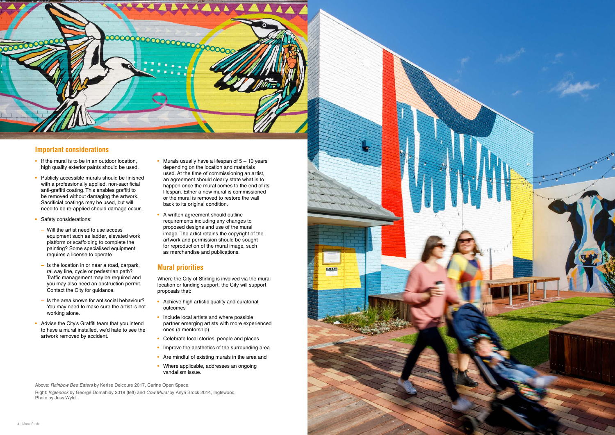



#### **Important considerations**

- **•** If the mural is to be in an outdoor location, high quality exterior paints should be used.
- **•** Publicly accessible murals should be finished with a professionally applied, non-sacrificial anti-graffiti coating. This enables graffiti to be removed without damaging the artwork. Sacrificial coatings may be used, but will need to be re-applied should damage occur.
- **•** Safety considerations:
- **–** Will the artist need to use access equipment such as ladder, elevated work platform or scaffolding to complete the painting? Some specialised equipment requires a license to operate
- **–** Is the location in or near a road, carpark, railway line, cycle or pedestrian path? Traffic management may be required and you may also need an obstruction permit. Contact the City for guidance.
- **–** Is the area known for antisocial behaviour? You may need to make sure the artist is not working alone.
- **•** Advise the City's Graffiti team that you intend to have a mural installed, we'd hate to see the artwork removed by accident.
- **•** Murals usually have a lifespan of 5 10 years depending on the location and materials used. At the time of commissioning an artist, an agreement should clearly state what is to happen once the mural comes to the end of its' lifespan. Either a new mural is commissioned or the mural is removed to restore the wall back to its original condition.
- **•** A written agreement should outline requirements including any changes to proposed designs and use of the mural image. The artist retains the copyright of the artwork and permission should be sought for reproduction of the mural image, such as merchandise and publications.

#### **Mural priorities**

Where the City of Stirling is involved via the mural location or funding support, the City will support proposals that:

200

- **•** Achieve high artistic quality and curatorial outcomes
- **•** Include local artists and where possible partner emerging artists with more experienced ones (a mentorship)
- **•** Celebrate local stories, people and places
- Improve the aesthetics of the surrounding area
- **•** Are mindful of existing murals in the area and
- **•** Where applicable, addresses an ongoing vandalism issue.

Above: *Rainbow Bee Eaters* by Kerise Delcoure 2017, Carine Open Space.

Right: *Inglenook* by George Domahidy 2019 (left) and *Cow Mural* by Anya Brock 2014, Inglewood. Photo by Jess Wyld.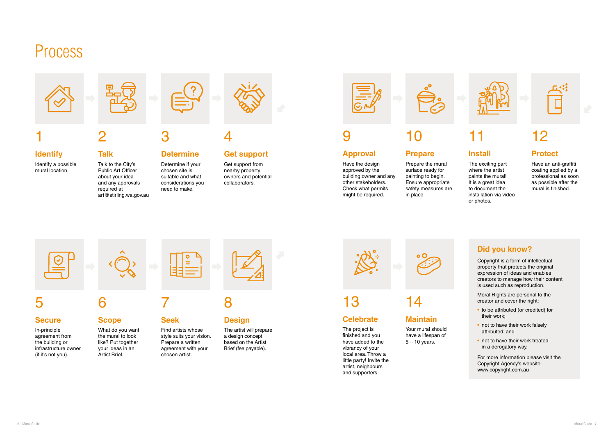## Process



## 1

**Identify**  Identify a possible mural location.

2

#### **Talk**

Talk to the City's Public Art Officer about your idea and any approvals required at art@stirling.wa.gov.au



### 3

#### **Determine**

Determine if your chosen site is suitable and what considerations you need to make.



### 5

#### **Secure**

In-principle agreement from the building or infrastructure owner (if it's not you).



### 6

#### **Scope**

What do you want the mural to look like? Put together your ideas in an Artist Brief.



### 7

#### **Seek**

Find artists whose style suits your vision. Prepare a written agreement with your chosen artist.



8

### **Design**

The artist will prepare a design concept based on the Artist Brief (fee payable).

Your mural should have a lifespan of  $5 - 10$  years.



### 9

#### **Approval**

Have the design approved by the building owner and any other stakeholders. Check what permits might be required.

10

### **Prepare**

Prepare the mural surface ready for painting to begin. Ensure appropriate safety measures are in place.



### 11

#### **Install**

The exciting part where the artist paints the mural! It is a great idea to document the installation via video or photos.



### 12

#### **Protect**

Have an anti-graffiti coating applied by a professional as soon as possible after the mural is finished.

13

#### **Celebrate**

The project is finished and you have added to the vibrancy of your local area. Throw a little party! Invite the artist, neighbours and supporters.

14

### **Maintain**

#### **Did you know?**

Copyright is a form of intellectual property that protects the original expression of ideas and enables creators to manage how their content is used such as reproduction.

Moral Rights are personal to the creator and cover the right:

- **•** to be attributed (or credited) for their work;
- **•** not to have their work falsely attributed; and
- not to have their work treated in a derogatory way.

For more information please visit the Copyright Agency's website www.copyright.com.au

## 4

#### **Get support**

Get support from nearby property owners and potential collaborators.